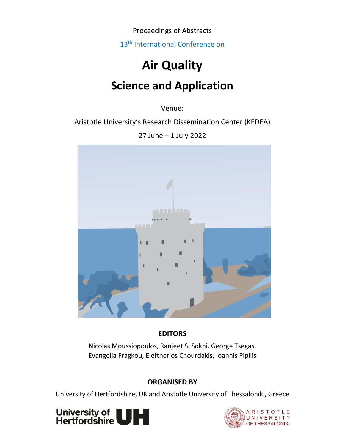Proceedings of Abstracts

13<sup>th</sup> International Conference on

# **Air Quality Science and Application**

Venue:

Aristotle University's Research Dissemination Center (KEDEA)

27 June – 1 July 2022



# **EDITORS**

Nicolas Moussiopoulos, Ranjeet S. Sokhi, George Tsegas, Evangelia Fragkou, Eleftherios Chourdakis, Ioannis Pipilis

# **ORGANISED BY**

University of Hertfordshire, UK and Aristotle University of Thessaloniki, Greece



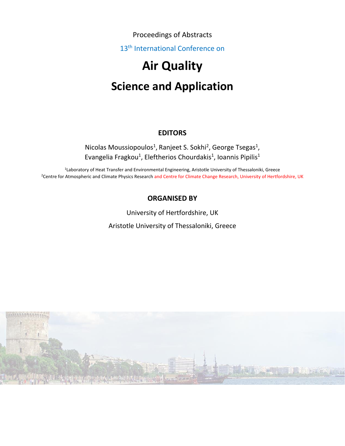Proceedings of Abstracts

13<sup>th</sup> International Conference on

# **Air Quality Science and Application**

### **EDITORS**

Nicolas Moussiopoulos<sup>1</sup>, Ranjeet S. Sokhi<sup>2</sup>, George Tsegas<sup>1</sup>, Evangelia Fragkou<sup>1</sup>, Eleftherios Chourdakis<sup>1</sup>, Ioannis Pipilis<sup>1</sup>

1 Laboratory of Heat Transfer and Environmental Engineering, Aristotle University of Thessaloniki, Greece <sup>2</sup>Centre for Atmospheric and Climate Physics Research and Centre for Climate Change Research, University of Hertfordshire, UK

### **ORGANISED BY**

University of Hertfordshire, UK Aristotle University of Thessaloniki, Greece

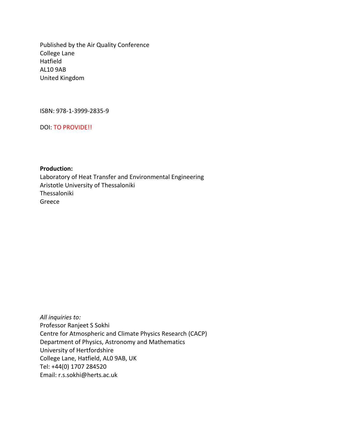Published by the Air Quality Conference College Lane Hatfield AL10 9AB United Kingdom

ISBN: 978-1-3999-2835-9

DOI: TO PROVIDE!!

**Production:**

Laboratory of Heat Transfer and Environmental Engineering Aristotle University of Thessaloniki Thessaloniki Greece

*All inquiries to:* Professor Ranjeet S Sokhi Centre for Atmospheric and Climate Physics Research (CACP) Department of Physics, Astronomy and Mathematics University of Hertfordshire College Lane, Hatfield, AL0 9AB, UK Tel: +44(0) 1707 284520 Email: r.s.sokhi@herts.ac.uk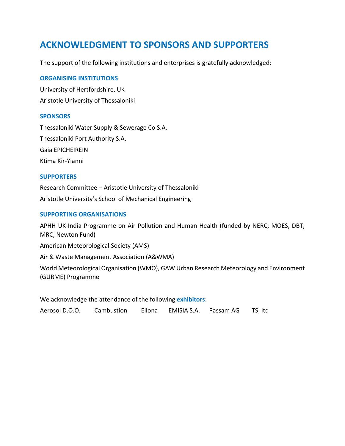# **ACKNOWLEDGMENT TO SPONSORS AND SUPPORTERS**

The support of the following institutions and enterprises is gratefully acknowledged:

#### **ORGANISING INSTITUTIONS**

University of Hertfordshire, UK Aristotle University of Thessaloniki

#### **SPONSORS**

Thessaloniki Water Supply & Sewerage Co S.A. Thessaloniki Port Authority S.A. Gaia EPICHEIREIN Ktima Kir-Yianni

#### **SUPPORTERS**

Research Committee – Aristotle University of Thessaloniki Aristotle University's School of Mechanical Engineering

#### **SUPPORTING ORGANISATIONS**

APHH UK-India Programme on Air Pollution and Human Health (funded by NERC, MOES, DBT, MRC, Newton Fund) American Meteorological Society (AMS) Air & Waste Management Association (A&WMA) World Meteorological Organisation (WMO), GAW Urban Research Meteorology and Environment (GURME) Programme

We acknowledge the attendance of the following **exhibitors**:

Aerosol D.O.O. Cambustion Ellona EMISIA S.A. Passam AG TSI ltd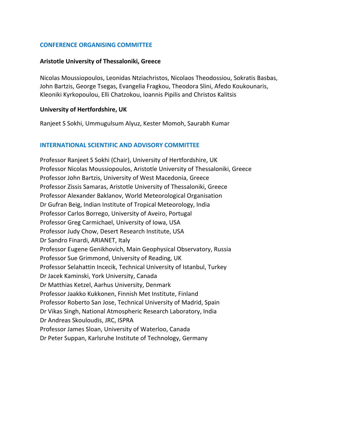#### **CONFERENCE ORGANISING COMMITTEE**

#### **Aristotle University of Thessaloniki, Greece**

Nicolas Moussiopoulos, Leonidas Ntziachristos, Nicolaos Theodossiou, Sokratis Basbas, John Bartzis, George Tsegas, Evangelia Fragkou, Theodora Slini, Afedo Koukounaris, Kleoniki Kyrkopoulou, Elli Chatzokou, Ioannis Pipilis and Christos Kalitsis

#### **University of Hertfordshire, UK**

Ranjeet S Sokhi, Ummugulsum Alyuz, Kester Momoh, Saurabh Kumar

#### **INTERNATIONAL SCIENTIFIC AND ADVISORY COMMITTEE**

Professor Ranjeet S Sokhi (Chair), University of Hertfordshire, UK Professor Nicolas Moussiopoulos, Aristotle University of Thessaloniki, Greece Professor John Bartzis, University of West Macedonia, Greece Professor Zissis Samaras, Aristotle University of Thessaloniki, Greece Professor Alexander Baklanov, World Meteorological Organisation Dr Gufran Beig, Indian Institute of Tropical Meteorology, India Professor Carlos Borrego, University of Aveiro, Portugal Professor Greg Carmichael, University of Iowa, USA Professor Judy Chow, Desert Research Institute, USA Dr Sandro Finardi, ARIANET, Italy Professor Eugene Genikhovich, Main Geophysical Observatory, Russia Professor Sue Grimmond, University of Reading, UK Professor Selahattin Incecik, Technical University of Istanbul, Turkey Dr Jacek Kaminski, York University, Canada Dr Matthias Ketzel, Aarhus University, Denmark Professor Jaakko Kukkonen, Finnish Met Institute, Finland Professor Roberto San Jose, Technical University of Madrid, Spain Dr Vikas Singh, National Atmospheric Research Laboratory, India Dr Andreas Skouloudis, JRC, ISPRA Professor James Sloan, University of Waterloo, Canada Dr Peter Suppan, Karlsruhe Institute of Technology, Germany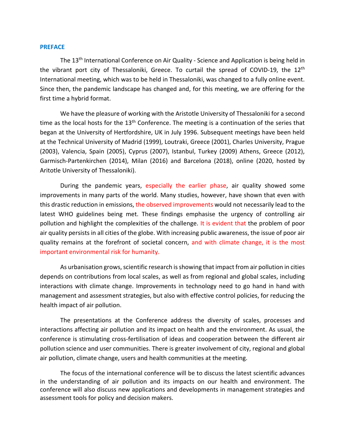#### **PREFACE**

The 13<sup>th</sup> International Conference on Air Quality - Science and Application is being held in the vibrant port city of Thessaloniki, Greece. To curtail the spread of COVID-19, the 12th International meeting, which was to be held in Thessaloniki, was changed to a fully online event. Since then, the pandemic landscape has changed and, for this meeting, we are offering for the first time a hybrid format.

We have the pleasure of working with the Aristotle University of Thessaloniki for a second time as the local hosts for the 13<sup>th</sup> Conference. The meeting is a continuation of the series that began at the University of Hertfordshire, UK in July 1996. Subsequent meetings have been held at the Technical University of Madrid (1999), Loutraki, Greece (2001), Charles University, Prague (2003), Valencia, Spain (2005), Cyprus (2007), Istanbul, Turkey (2009) Athens, Greece (2012), Garmisch-Partenkirchen (2014), Milan (2016) and Barcelona (2018), online (2020, hosted by Aritotle University of Thessaloniki).

During the pandemic years, especially the earlier phase, air quality showed some improvements in many parts of the world. Many studies, however, have shown that even with this drastic reduction in emissions, the observed improvements would not necessarily lead to the latest WHO guidelines being met. These findings emphasise the urgency of controlling air pollution and highlight the complexities of the challenge. It is evident that the problem of poor air quality persists in all cities of the globe. With increasing public awareness, the issue of poor air quality remains at the forefront of societal concern, and with climate change, it is the most important environmental risk for humanity.

As urbanisation grows, scientific research is showing that impact from air pollution in cities depends on contributions from local scales, as well as from regional and global scales, including interactions with climate change. Improvements in technology need to go hand in hand with management and assessment strategies, but also with effective control policies, for reducing the health impact of air pollution.

The presentations at the Conference address the diversity of scales, processes and interactions affecting air pollution and its impact on health and the environment. As usual, the conference is stimulating cross-fertilisation of ideas and cooperation between the different air pollution science and user communities. There is greater involvement of city, regional and global air pollution, climate change, users and health communities at the meeting.

The focus of the international conference will be to discuss the latest scientific advances in the understanding of air pollution and its impacts on our health and environment. The conference will also discuss new applications and developments in management strategies and assessment tools for policy and decision makers.